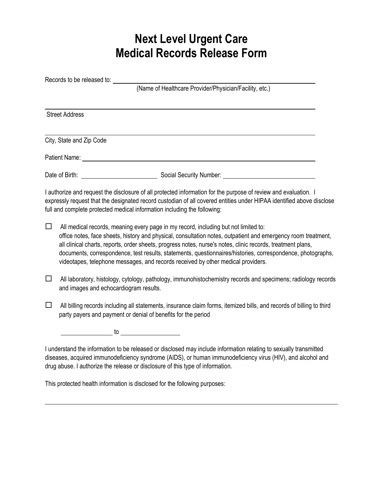## **Next Level Urgent Care Medical Records Release Form**

|        | Records to be released to:                                                                                                                                                                                                                                                                                                                                                                                                                                                                                             |
|--------|------------------------------------------------------------------------------------------------------------------------------------------------------------------------------------------------------------------------------------------------------------------------------------------------------------------------------------------------------------------------------------------------------------------------------------------------------------------------------------------------------------------------|
|        | (Name of Healthcare Provider/Physician/Facility, etc.)                                                                                                                                                                                                                                                                                                                                                                                                                                                                 |
|        | <b>Street Address</b>                                                                                                                                                                                                                                                                                                                                                                                                                                                                                                  |
|        | City, State and Zip Code                                                                                                                                                                                                                                                                                                                                                                                                                                                                                               |
|        | Patient Name: Name: Name and Security and Security and Security and Security and Security and Security and Security and Security and Security and Security and Security and Security and Security and Security and Security an                                                                                                                                                                                                                                                                                         |
|        |                                                                                                                                                                                                                                                                                                                                                                                                                                                                                                                        |
|        | I authorize and request the disclosure of all protected information for the purpose of review and evaluation. I<br>expressly request that the designated record custodian of all covered entities under HIPAA identified above disclose<br>full and complete protected medical information including the following:                                                                                                                                                                                                    |
| $\Box$ | All medical records, meaning every page in my record, including but not limited to:<br>office notes, face sheets, history and physical, consultation notes, outpatient and emergency room treatment,<br>all clinical charts, reports, order sheets, progress notes, nurse's notes, clinic records, treatment plans,<br>documents, correspondence, test results, statements, questionnaires/histories, correspondence, photographs,<br>videotapes, telephone messages, and records received by other medical providers. |
| □      | All laboratory, histology, cytology, pathology, immunohistochemistry records and specimens; radiology records<br>and images and echocardiogram results.                                                                                                                                                                                                                                                                                                                                                                |
| □      | All billing records including all statements, insurance claim forms, itemized bills, and records of billing to third<br>party payers and payment or denial of benefits for the period                                                                                                                                                                                                                                                                                                                                  |
|        | $\overline{\phantom{a}}$ to $\overline{\phantom{a}}$                                                                                                                                                                                                                                                                                                                                                                                                                                                                   |
|        | I understand the information to be released or disclosed may include information relating to sexually transmitted                                                                                                                                                                                                                                                                                                                                                                                                      |

diseases, acquired immunodeficiency syndrome (AIDS), or human immunodeficiency virus (HIV), and alcohol and drug abuse. I authorize the release or disclosure of this type of information.

This protected health information is disclosed for the following purposes: